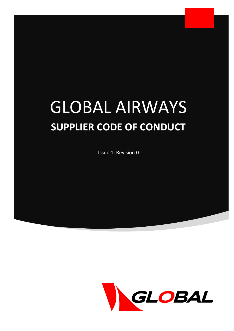# GLOBAL AIRWAYS **SUPPLIER CODE OF CONDUCT**

Issue 1: Revision 0

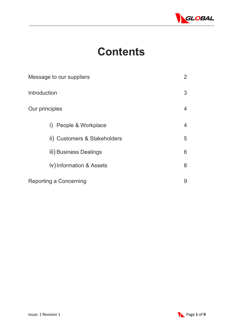

## **Contents**

| Message to our suppliers                   |   |  |
|--------------------------------------------|---|--|
| Introduction                               | 3 |  |
| Our principles                             | 4 |  |
| People & Workplace<br>$\ddot{\phantom{1}}$ | 4 |  |
| ii) Customers & Stakeholders               | 5 |  |
| iii) Business Dealings                     | 6 |  |
| iv) Information & Assets                   | 8 |  |
| Reporting a Concerning                     | 9 |  |

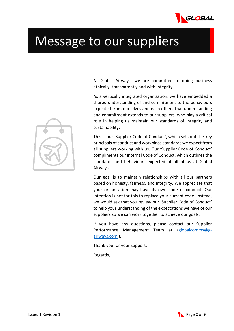

## Message to our suppliers

At Global Airways, we are committed to doing business ethically, transparently and with integrity.

As a vertically integrated organisation, we have embedded a shared understanding of and commitment to the behaviours expected from ourselves and each other. That understanding and commitment extends to our suppliers, who play a critical role in helping us maintain our standards of integrity and sustainability.

This is our 'Supplier Code of Conduct', which sets out the key principals of conduct and workplace standards we expect from all suppliers working with us. Our 'Supplier Code of Conduct' compliments our internal Code of Conduct, which outlines the standards and behaviours expected of all of us at Global Airways.

Our goal is to maintain relationships with all our partners based on honesty, fairness, and integrity. We appreciate that your organisation may have its own code of conduct. Our intention is not for this to replace your current code. Instead, we would ask that you review our 'Supplier Code of Conduct' to help your understanding of the expectations we have of our suppliers so we can work together to achieve our goals.

If you have any questions, please contact our Supplier Performance Management Team at [\(globalcomms@g](mailto:globalcomms@g-airways.com)[airways.com](mailto:globalcomms@g-airways.com) ).

Thank you for your support.

Regards,

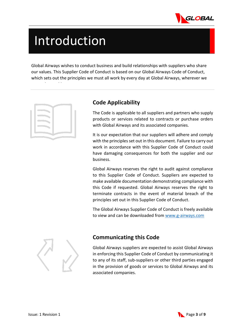

# Introduction

Global Airways wishes to conduct business and build relationships with suppliers who share our values. This Supplier Code of Conduct is based on our Global Airways Code of Conduct, which sets out the principles we must all work by every day at Global Airways, wherever we



h la shekarar 1992.<br>Manazarta

#### **Code Applicability**

The Code is applicable to all suppliers and partners who supply products or services related to contracts or purchase orders with Global Airways and its associated companies.

It is our expectation that our suppliers will adhere and comply with the principles set out in this document. Failure to carry out work in accordance with this Supplier Code of Conduct could have damaging consequences for both the supplier and our business.

Global Airways reserves the right to audit against compliance to this Supplier Code of Conduct. Suppliers are expected to make available documentation demonstrating compliance with this Code if requested. Global Airways reserves the right to terminate contracts in the event of material breach of the principles set out in this Supplier Code of Conduct.

The Global Airways Supplier Code of Conduct is freely available to view and can be downloaded from [www.g-airways.com](http://www.g-airways.com/)



#### **Communicating this Code**

Global Airways suppliers are expected to assist Global Airways in enforcing this Supplier Code of Conduct by communicating it to any of its staff, sub-suppliers or other third parties engaged in the provision of goods or services to Global Airways and its associated companies.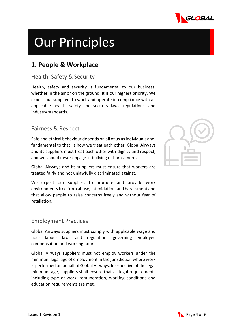

# Our Principles

### **1. People & Workplace**

#### Health, Safety & Security

Health, safety and security is fundamental to our business, whether in the air or on the ground. It is our highest priority. We expect our suppliers to work and operate in compliance with all applicable health, safety and security laws, regulations, and industry standards.

#### Fairness & Respect

Safe and ethical behaviour depends on all of us as individuals and, fundamental to that, is how we treat each other. Global Airways and its suppliers must treat each other with dignity and respect, and we should never engage in bullying or harassment.

Global Airways and its suppliers must ensure that workers are treated fairly and not unlawfully discriminated against.

We expect our suppliers to promote and provide work environments free from abuse, intimidation, and harassment and that allow people to raise concerns freely and without fear of retaliation.

#### Employment Practices

Global Airways suppliers must comply with applicable wage and hour labour laws and regulations governing employee compensation and working hours.

Global Airways suppliers must not employ workers under the minimum legal age of employment in the jurisdiction where work is performed on behalf of Global Airways. Irrespective of the legal minimum age, suppliers shall ensure that all legal requirements including type of work, remuneration, working conditions and education requirements are met.

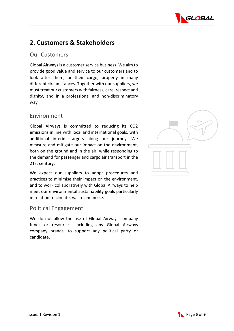

## **2. Customers & Stakeholders**

#### Our Customers

Global Airways is a customer service business. We aim to provide good value and service to our customers and to look after them, or their cargo, properly in many different circumstances. Together with our suppliers, we must treat our customers with fairness, care, respect and dignity, and in a professional and non-discriminatory way.

#### Environment

Global Airways is committed to reducing its CO2 emissions in line with local and international goals, with additional interim targets along our journey. We measure and mitigate our impact on the environment, both on the ground and in the air, while responding to the demand for passenger and cargo air transport in the 21st century.

We expect our suppliers to adopt procedures and practices to minimise their impact on the environment, and to work collaboratively with Global Airways to help meet our environmental sustainability goals particularly in relation to climate, waste and noise.

#### Political Engagement

We do not allow the use of Global Airways company funds or resources, including any Global Airways company brands, to support any political party or candidate.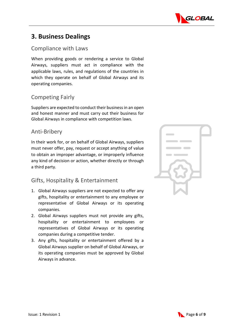

## **3. Business Dealings**

#### Compliance with Laws

When providing goods or rendering a service to Global Airways, suppliers must act in compliance with the applicable laws, rules, and regulations of the countries in which they operate on behalf of Global Airways and its operating companies.

#### Competing Fairly

Suppliers are expected to conduct their business in an open and honest manner and must carry out their business for Global Airways in compliance with competition laws.

#### Anti-Bribery

In their work for, or on behalf of Global Airways, suppliers must never offer, pay, request or accept anything of value to obtain an improper advantage, or improperly influence any kind of decision or action, whether directly or through a third party.

#### Gifts, Hospitality & Entertainment

- 1. Global Airways suppliers are not expected to offer any gifts, hospitality or entertainment to any employee or representative of Global Airways or its operating companies.
- 2. Global Airways suppliers must not provide any gifts, hospitality or entertainment to employees or representatives of Global Airways or its operating companies during a competitive tender.
- 3. Any gifts, hospitality or entertainment offered by a Global Airways supplier on behalf of Global Airways, or its operating companies must be approved by Global Airways in advance.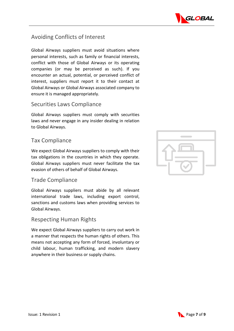

#### Avoiding Conflicts of Interest

Global Airways suppliers must avoid situations where personal interests, such as family or financial interests, conflict with those of Global Airways or its operating companies (or may be perceived as such). If you encounter an actual, potential, or perceived conflict of interest, suppliers must report it to their contact at Global Airways or Global Airways associated company to ensure it is managed appropriately.

#### Securities Laws Compliance

Global Airways suppliers must comply with securities laws and never engage in any insider dealing in relation to Global Airways.

#### Tax Compliance

We expect Global Airways suppliers to comply with their tax obligations in the countries in which they operate. Global Airways suppliers must never facilitate the tax evasion of others of behalf of Global Airways.

#### Trade Compliance

Global Airways suppliers must abide by all relevant international trade laws, including export control, sanctions and customs laws when providing services to Global Airways.

#### Respecting Human Rights

We expect Global Airways suppliers to carry out work in a manner that respects the human rights of others. This means not accepting any form of forced, involuntary or child labour, human trafficking, and modern slavery anywhere in their business or supply chains.

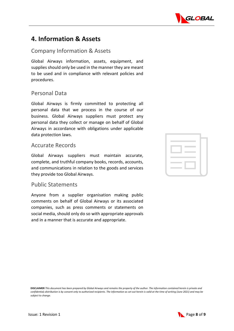

### **4. Information & Assets**

#### Company Information & Assets

Global Airways information, assets, equipment, and supplies should only be used in the manner they are meant to be used and in compliance with relevant policies and procedures.

#### Personal Data

Global Airways is firmly committed to protecting all personal data that we process in the course of our business. Global Airways suppliers must protect any personal data they collect or manage on behalf of Global Airways in accordance with obligations under applicable data protection laws.

#### Accurate Records

Global Airways suppliers must maintain accurate, complete, and truthful company books, records, accounts, and communications in relation to the goods and services they provide too Global Airways.

#### Public Statements

Anyone from a supplier organisation making public comments on behalf of Global Airways or its associated companies, such as press comments or statements on social media, should only do so with appropriate approvals and in a manner that is accurate and appropriate.

| <b>Contract Contract Contract</b> |  |
|-----------------------------------|--|
| <b>The Common State</b>           |  |



**DISCLAIMER** *This document has been prepared by Global Airways and remains the property of the author. The information contained herein is private and confidential; distribution is by consent only to authorized recipients. The information as set out herein is valid at the time of writing (June 2021) and may be subject to change.*